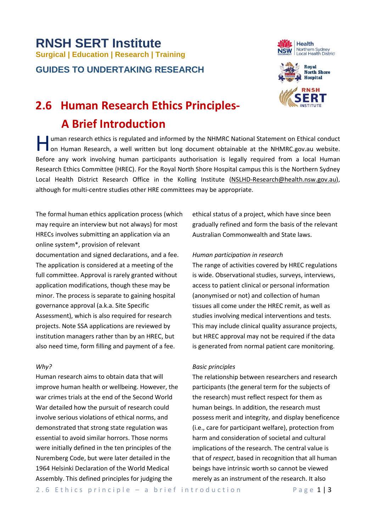# **RNSH SERT Institute Surgical | Education | Research | Training GUIDES TO UNDERTAKING RESEARCH**





# **2.6 Human Research Ethics Principles- A Brief Introduction**

uman research ethics is regulated and informed by the NHMRC National Statement on Ethical conduct<br>on Human Research, a well written but long document obtainable at the NHMRC gov au website. on Human Research, a well written but long document obtainable at the NHMRC.gov.au website. Before any work involving human participants authorisation is legally required from a local Human Research Ethics Committee (HREC). For the Royal North Shore Hospital campus this is the Northern Sydney Local Health District Research Office in the Kolling Institute [\(NSLHD-Research@health.nsw.gov.au\)](mailto:nslhd-research-finance@health.nsw.gov.au), although for multi-centre studies other HRE committees may be appropriate.

The formal human ethics application process (which may require an interview but not always) for most HRECs involves submitting an application via an online system\*, provision of relevant documentation and signed declarations, and a fee. The application is considered at a meeting of the full committee. Approval is rarely granted without application modifications, though these may be minor. The process is separate to gaining hospital governance approval (a.k.a. Site Specific Assessment), which is also required for research projects. Note SSA applications are reviewed by institution managers rather than by an HREC, but also need time, form filling and payment of a fee.

# *Why?*

Human research aims to obtain data that will improve human health or wellbeing. However, the war crimes trials at the end of the Second World War detailed how the pursuit of research could involve serious violations of ethical norms, and demonstrated that strong state regulation was essential to avoid similar horrors. Those norms were initially defined in the ten principles of the Nuremberg Code, but were later detailed in the 1964 Helsinki Declaration of the World Medical Assembly. This defined principles for judging the

ethical status of a project, which have since been gradually refined and form the basis of the relevant Australian Commonwealth and State laws.

# *Human participation in research*

The range of activities covered by HREC regulations is wide. Observational studies, surveys, interviews, access to patient clinical or personal information (anonymised or not) and collection of human tissues all come under the HREC remit, as well as studies involving medical interventions and tests. This may include clinical quality assurance projects, but HREC approval may not be required if the data is generated from normal patient care monitoring.

# *Basic principles*

The relationship between researchers and research participants (the general term for the subjects of the research) must reflect respect for them as human beings. In addition, the research must possess merit and integrity, and display beneficence (i.e., care for participant welfare), protection from harm and consideration of societal and cultural implications of the research. The central value is that of *respect*, based in recognition that all human beings have intrinsic worth so cannot be viewed merely as an instrument of the research. It also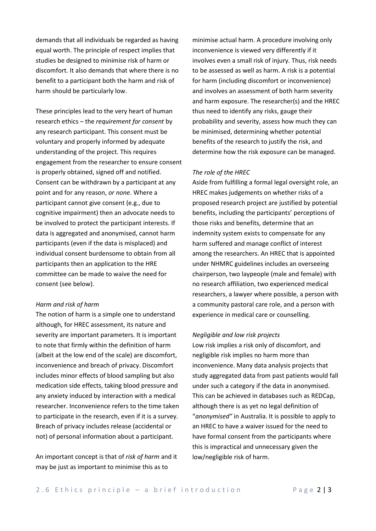demands that all individuals be regarded as having equal worth. The principle of respect implies that studies be designed to minimise risk of harm or discomfort. It also demands that where there is no benefit to a participant both the harm and risk of harm should be particularly low.

These principles lead to the very heart of human research ethics – the *requirement for consent* by any research participant. This consent must be voluntary and properly informed by adequate understanding of the project. This requires engagement from the researcher to ensure consent is properly obtained, signed off and notified. Consent can be withdrawn by a participant at any point and for any reason, *or none*. Where a participant cannot give consent (e.g., due to cognitive impairment) then an advocate needs to be involved to protect the participant interests. If data is aggregated and anonymised, cannot harm participants (even if the data is misplaced) and individual consent burdensome to obtain from all participants then an application to the HRE committee can be made to waive the need for consent (see below).

#### *Harm and risk of harm*

The notion of harm is a simple one to understand although, for HREC assessment, its nature and severity are important parameters. It is important to note that firmly within the definition of harm (albeit at the low end of the scale) are discomfort, inconvenience and breach of privacy. Discomfort includes minor effects of blood sampling but also medication side effects, taking blood pressure and any anxiety induced by interaction with a medical researcher. Inconvenience refers to the time taken to participate in the research, even if it is a survey. Breach of privacy includes release (accidental or not) of personal information about a participant.

An important concept is that of *risk of harm* and it may be just as important to minimise this as to

minimise actual harm. A procedure involving only inconvenience is viewed very differently if it involves even a small risk of injury. Thus, risk needs to be assessed as well as harm. A risk is a potential for harm (including discomfort or inconvenience) and involves an assessment of both harm severity and harm exposure. The researcher(s) and the HREC thus need to identify any risks, gauge their probability and severity, assess how much they can be minimised, determining whether potential benefits of the research to justify the risk, and determine how the risk exposure can be managed.

#### *The role of the HREC*

Aside from fulfilling a formal legal oversight role, an HREC makes judgements on whether risks of a proposed research project are justified by potential benefits, including the participants' perceptions of those risks and benefits, determine that an indemnity system exists to compensate for any harm suffered and manage conflict of interest among the researchers. An HREC that is appointed under NHMRC guidelines includes an overseeing chairperson, two laypeople (male and female) with no research affiliation, two experienced medical researchers, a lawyer where possible, a person with a community pastoral care role, and a person with experience in medical care or counselling.

#### *Negligible and low risk projects*

Low risk implies a risk only of discomfort, and negligible risk implies no harm more than inconvenience. Many data analysis projects that study aggregated data from past patients would fall under such a category if the data in anonymised. This can be achieved in databases such as REDCap, although there is as yet no legal definition of "*anonymised"* in Australia. It is possible to apply to an HREC to have a waiver issued for the need to have formal consent from the participants where this is impractical and unnecessary given the low/negligible risk of harm.